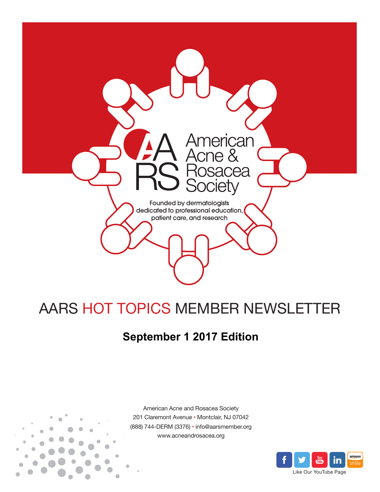

# AARS HOT TOPICS MEMBER NEWSLETTER

## **September 1 2017 Edition**



American Acne and Rosacea Society 201 Claremont Avenue • Montclair, NJ 07042 (888) 744-DERM (3376) • info@aarsmember.org www.acneandrosacea.org

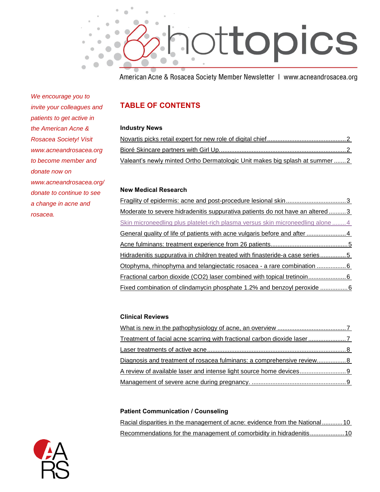

American Acne & Rosacea Society Member Newsletter | www.acneandrosacea.org

*We encourage you to invite your colleagues and patients to get active in the American Acne & Rosacea Society! Visit www.acneandrosacea.org to become member and donate now on www.acneandrosacea.org/ donate to continue to see a change in acne and rosacea.*

### **TABLE OF CONTENTS**

#### **Industry News**

| Valeant's newly minted Ortho Dermatologic Unit makes big splash at summer 2 |  |
|-----------------------------------------------------------------------------|--|

#### **New Medical Research**

[Fragility of epidermis: acne and post-procedure lesional skin...................................3](#page-3-0) [Moderate to severe hidradenitis suppurativa patients do not have an altered](#page-3-1) ..........3 [Skin microneedling plus platelet-rich plasma versus skin microneedling alone](#page-4-0) ........ 4 [General quality of life of patients with acne vulgaris before and after](#page-4-1) .........................4 [Acne fulminans: treatment experience from 26 patients.............................................5](#page-5-0) [Hidradenitis suppurativa in children treated with finasteride-a case series](#page-5-0) ...............5 Otophyma, [rhinophyma and telangiectatic rosacea -](#page-6-0) a rare combination ..................6 [Fractional carbon dioxide \(CO2\) laser combined with topical tretinoin......................6](#page-6-1) [Fixed combination of clindamycin phosphate 1.2% and benzoyl peroxide](#page-6-2) .................6

#### **Clinical Reviews**

| Diagnosis and treatment of rosacea fulminans: a comprehensive review 8 |  |
|------------------------------------------------------------------------|--|
|                                                                        |  |
|                                                                        |  |

#### **Patient Communication / Counseling**

|  | Racial disparities in the management of acne: evidence from the National10 |  |  |
|--|----------------------------------------------------------------------------|--|--|
|  | Recommendations for the management of comorbidity in hidradenitis10        |  |  |

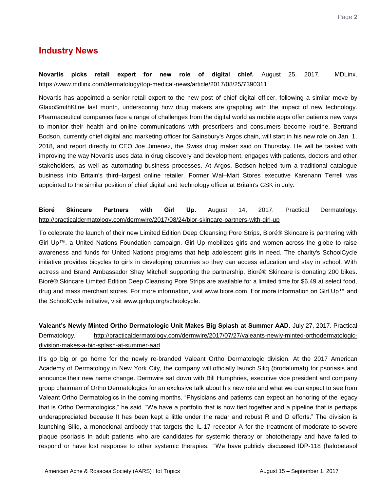## **Industry News**

<span id="page-2-0"></span>**Novartis picks retail expert for new role of digital chief.** August 25, 2017. MDLinx. https://www.mdlinx.com/dermatology/top-medical-news/article/2017/08/25/7390311

Novartis has appointed a senior retail expert to the new post of chief digital officer, following a similar move by GlaxoSmithKline last month, underscoring how drug makers are grappling with the impact of new technology. Pharmaceutical companies face a range of challenges from the digital world as mobile apps offer patients new ways to monitor their health and online communications with prescribers and consumers become routine. Bertrand Bodson, currently chief digital and marketing officer for Sainsbury's Argos chain, will start in his new role on Jan. 1, 2018, and report directly to CEO Joe Jimenez, the Swiss drug maker said on Thursday. He will be tasked with improving the way Novartis uses data in drug discovery and development, engages with patients, doctors and other stakeholders, as well as automating business processes. At Argos, Bodson helped turn a traditional catalogue business into Britain's third–largest online retailer. Former Wal–Mart Stores executive Karenann Terrell was appointed to the similar position of chief digital and technology officer at Britain's GSK in July.

#### <span id="page-2-1"></span>**Bioré Skincare Partners with Girl Up.** August 14, 2017. Practical Dermatology. <http://practicaldermatology.com/dermwire/2017/08/24/bior-skincare-partners-with-girl-up>

To celebrate the launch of their new Limited Edition Deep Cleansing Pore Strips, Bioré® Skincare is partnering with Girl Up™, a United Nations Foundation campaign. Girl Up mobilizes girls and women across the globe to raise awareness and funds for United Nations programs that help adolescent girls in need. The charity's SchoolCycle initiative provides bicycles to girls in developing countries so they can access education and stay in school. With actress and Brand Ambassador Shay Mitchell supporting the partnership, Bioré® Skincare is donating 200 bikes. Bioré® Skincare Limited Edition Deep Cleansing Pore Strips are available for a limited time for \$6.49 at select food, drug and mass merchant stores. For more information, visit www.biore.com. For more information on Girl Up™ and the SchoolCycle initiative, visit www.girlup.org/schoolcycle.

#### <span id="page-2-2"></span>**Valeant's Newly Minted Ortho Dermatologic Unit Makes Big Splash at Summer AAD.** July 27, 2017. Practical Dermatology. [http://practicaldermatology.com/dermwire/2017/07/27/valeants-newly-minted-orthodermatologic](http://practicaldermatology.com/dermwire/2017/07/27/valeants-newly-minted-orthodermatologic-division-makes-a-big-splash-at-summer-aad)[division-makes-a-big-splash-at-summer-aad](http://practicaldermatology.com/dermwire/2017/07/27/valeants-newly-minted-orthodermatologic-division-makes-a-big-splash-at-summer-aad)

It's go big or go home for the newly re-branded Valeant Ortho Dermatologic division. At the 2017 American Academy of Dermatology in New York City, the company will officially launch Siliq (brodalumab) for psoriasis and announce their new name change. Dermwire sat down with Bill Humphries, executive vice president and company group chairman of Ortho Dermatologics for an exclusive talk about his new role and what we can expect to see from Valeant Ortho Dermatologics in the coming months. "Physicians and patients can expect an honoring of the legacy that is Ortho Dermatologics," he said. "We have a portfolio that is now tied together and a pipeline that is perhaps underappreciated because It has been kept a little under the radar and robust R and D efforts." The division is launching Siliq, a monoclonal antibody that targets the IL-17 receptor A for the treatment of moderate-to-severe plaque psoriasis in adult patients who are candidates for systemic therapy or phototherapy and have failed to respond or have lost response to other systemic therapies. "We have publicly discussed IDP-118 (halobetasol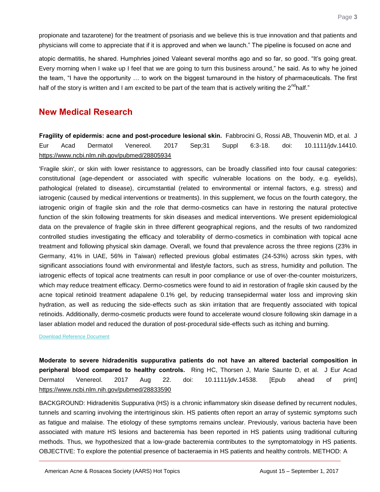propionate and tazarotene) for the treatment of psoriasis and we believe this is true innovation and that patients and physicians will come to appreciate that if it is approved and when we launch." The pipeline is focused on acne and

atopic dermatitis, he shared. Humphries joined Valeant several months ago and so far, so good. "It's going great. Every morning when I wake up I feel that we are going to turn this business around," he said. As to why he joined the team, "I have the opportunity … to work on the biggest turnaround in the history of pharmaceuticals. The first half of the story is written and I am excited to be part of the team that is actively writing the  $2^{nd}$ half."

## **New Medical Research**

<span id="page-3-0"></span>**Fragility of epidermis: acne and post-procedure lesional skin.** Fabbrocini G, Rossi AB, Thouvenin MD, et al. J Eur Acad Dermatol Venereol. 2017 Sep;31 Suppl 6:3-18. doi: 10.1111/jdv.14410. <https://www.ncbi.nlm.nih.gov/pubmed/28805934>

'Fragile skin', or skin with lower resistance to aggressors, can be broadly classified into four causal categories: constitutional (age-dependent or associated with specific vulnerable locations on the body, e.g. eyelids), pathological (related to disease), circumstantial (related to environmental or internal factors, e.g. stress) and iatrogenic (caused by medical interventions or treatments). In this supplement, we focus on the fourth category, the iatrogenic origin of fragile skin and the role that dermo-cosmetics can have in restoring the natural protective function of the skin following treatments for skin diseases and medical interventions. We present epidemiological data on the prevalence of fragile skin in three different geographical regions, and the results of two randomized controlled studies investigating the efficacy and tolerability of dermo-cosmetics in combination with topical acne treatment and following physical skin damage. Overall, we found that prevalence across the three regions (23% in Germany, 41% in UAE, 56% in Taiwan) reflected previous global estimates (24-53%) across skin types, with significant associations found with environmental and lifestyle factors, such as stress, humidity and pollution. The iatrogenic effects of topical acne treatments can result in poor compliance or use of over-the-counter moisturizers, which may reduce treatment efficacy. Dermo-cosmetics were found to aid in restoration of fragile skin caused by the acne topical retinoid treatment adapalene 0.1% gel, by reducing transepidermal water loss and improving skin hydration, as well as reducing the side-effects such as skin irritation that are frequently associated with topical retinoids. Additionally, dermo-cosmetic products were found to accelerate wound closure following skin damage in a laser ablation model and reduced the duration of post-procedural side-effects such as itching and burning.

[Download Reference Document](http://files.constantcontact.com/c2fa20d1101/24f3e78d-ff38-474d-9f41-cff5dd7c90f5.pdf?ver=1504107201000)

<span id="page-3-1"></span>**Moderate to severe hidradenitis suppurativa patients do not have an altered bacterial composition in peripheral blood compared to healthy controls.** Ring HC, Thorsen J, Marie Saunte D, et al. J Eur Acad Dermatol Venereol. 2017 Aug 22. doi: 10.1111/jdv.14538. [Epub ahead of print] <https://www.ncbi.nlm.nih.gov/pubmed/28833590>

BACKGROUND: Hidradenitis Suppurativa (HS) is a chronic inflammatory skin disease defined by recurrent nodules, tunnels and scarring involving the intertriginous skin. HS patients often report an array of systemic symptoms such as fatigue and malaise. The etiology of these symptoms remains unclear. Previously, various bacteria have been associated with mature HS lesions and bacteremia has been reported in HS patients using traditional culturing methods. Thus, we hypothesized that a low-grade bacteremia contributes to the symptomatology in HS patients. OBJECTIVE: To explore the potential presence of bacteraemia in HS patients and healthy controls. METHOD: A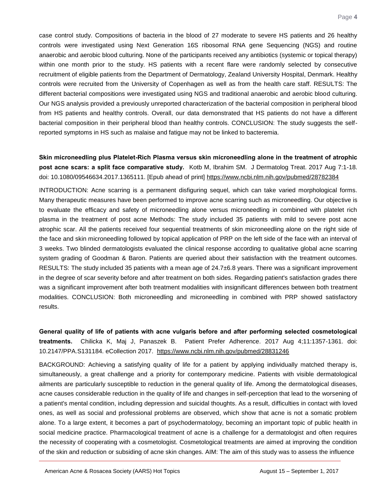case control study. Compositions of bacteria in the blood of 27 moderate to severe HS patients and 26 healthy controls were investigated using Next Generation 16S ribosomal RNA gene Sequencing (NGS) and routine anaerobic and aerobic blood culturing. None of the participants received any antibiotics (systemic or topical therapy) within one month prior to the study. HS patients with a recent flare were randomly selected by consecutive recruitment of eligible patients from the Department of Dermatology, Zealand University Hospital, Denmark. Healthy controls were recruited from the University of Copenhagen as well as from the health care staff. RESULTS: The different bacterial compositions were investigated using NGS and traditional anaerobic and aerobic blood culturing. Our NGS analysis provided a previously unreported characterization of the bacterial composition in peripheral blood from HS patients and healthy controls. Overall, our data demonstrated that HS patients do not have a different bacterial composition in their peripheral blood than healthy controls. CONCLUSION: The study suggests the selfreported symptoms in HS such as malaise and fatigue may not be linked to bacteremia.

<span id="page-4-0"></span>**Skin microneedling plus Platelet-Rich Plasma versus skin microneedling alone in the treatment of atrophic post acne scars: a split face comparative study.** Kotb M, Ibrahim SM. J Dermatolog Treat. 2017 Aug 7:1-18. doi: 10.1080/09546634.2017.1365111. [Epub ahead of print]<https://www.ncbi.nlm.nih.gov/pubmed/28782384>

INTRODUCTION: Acne scarring is a permanent disfiguring sequel, which can take varied morphological forms. Many therapeutic measures have been performed to improve acne scarring such as microneedling. Our objective is to evaluate the efficacy and safety of microneedling alone versus microneedling in combined with platelet rich plasma in the treatment of post acne Methods: The study included 35 patients with mild to severe post acne atrophic scar. All the patients received four sequential treatments of skin microneedling alone on the right side of the face and skin microneedling followed by topical application of PRP on the left side of the face with an interval of 3 weeks. Two blinded dermatologists evaluated the clinical response according to qualitative global acne scarring system grading of Goodman & Baron. Patients are queried about their satisfaction with the treatment outcomes. RESULTS: The study included 35 patients with a mean age of 24.7±6.8 years. There was a significant improvement in the degree of scar severity before and after treatment on both sides. Regarding patient's satisfaction grades there was a significant improvement after both treatment modalities with insignificant differences between both treatment modalities. CONCLUSION: Both microneedling and microneedling in combined with PRP showed satisfactory results.

<span id="page-4-1"></span>**General quality of life of patients with acne vulgaris before and after performing selected cosmetological treatments.** Chilicka K, Maj J, Panaszek B. Patient Prefer Adherence. 2017 Aug 4;11:1357-1361. doi: 10.2147/PPA.S131184. eCollection 2017. <https://www.ncbi.nlm.nih.gov/pubmed/28831246>

BACKGROUND: Achieving a satisfying quality of life for a patient by applying individually matched therapy is, simultaneously, a great challenge and a priority for contemporary medicine. Patients with visible dermatological ailments are particularly susceptible to reduction in the general quality of life. Among the dermatological diseases, acne causes considerable reduction in the quality of life and changes in self-perception that lead to the worsening of a patient's mental condition, including depression and suicidal thoughts. As a result, difficulties in contact with loved ones, as well as social and professional problems are observed, which show that acne is not a somatic problem alone. To a large extent, it becomes a part of psychodermatology, becoming an important topic of public health in social medicine practice. Pharmacological treatment of acne is a challenge for a dermatologist and often requires the necessity of cooperating with a cosmetologist. Cosmetological treatments are aimed at improving the condition of the skin and reduction or subsiding of acne skin changes. AIM: The aim of this study was to assess the influence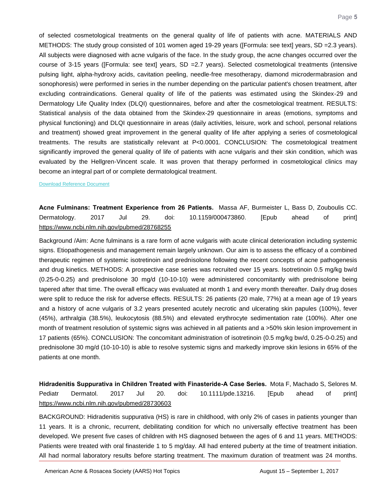of selected cosmetological treatments on the general quality of life of patients with acne. MATERIALS AND METHODS: The study group consisted of 101 women aged 19-29 years ([Formula: see text] years, SD =2.3 years). All subjects were diagnosed with acne vulgaris of the face. In the study group, the acne changes occurred over the course of 3-15 years ([Formula: see text] years, SD =2.7 years). Selected cosmetological treatments (intensive pulsing light, alpha-hydroxy acids, cavitation peeling, needle-free mesotherapy, diamond microdermabrasion and sonophoresis) were performed in series in the number depending on the particular patient's chosen treatment, after excluding contraindications. General quality of life of the patients was estimated using the Skindex-29 and Dermatology Life Quality Index (DLQI) questionnaires, before and after the cosmetological treatment. RESULTS: Statistical analysis of the data obtained from the Skindex-29 questionnaire in areas (emotions, symptoms and physical functioning) and DLQI questionnaire in areas (daily activities, leisure, work and school, personal relations and treatment) showed great improvement in the general quality of life after applying a series of cosmetological treatments. The results are statistically relevant at P<0.0001. CONCLUSION: The cosmetological treatment significantly improved the general quality of life of patients with acne vulgaris and their skin condition, which was evaluated by the Hellgren-Vincent scale. It was proven that therapy performed in cosmetological clinics may become an integral part of or complete dermatological treatment.

#### [Download Reference Document](http://files.constantcontact.com/c2fa20d1101/37bfb273-052c-4302-94ac-0506a87efdd0.pdf?ver=1504107201000)

<span id="page-5-0"></span>**Acne Fulminans: Treatment Experience from 26 Patients.** Massa AF, Burmeister L, Bass D, Zouboulis CC. Dermatology. 2017 Jul 29. doi: 10.1159/000473860. [Epub ahead of print] <https://www.ncbi.nlm.nih.gov/pubmed/28768255>

Background /Aim: Acne fulminans is a rare form of acne vulgaris with acute clinical deterioration including systemic signs. Etiopathogenesis and management remain largely unknown. Our aim is to assess the efficacy of a combined therapeutic regimen of systemic isotretinoin and prednisolone following the recent concepts of acne pathogenesis and drug kinetics. METHODS: A prospective case series was recruited over 15 years. Isotretinoin 0.5 mg/kg bw/d (0.25-0-0.25) and prednisolone 30 mg/d (10-10-10) were administered concomitantly with prednisolone being tapered after that time. The overall efficacy was evaluated at month 1 and every month thereafter. Daily drug doses were split to reduce the risk for adverse effects. RESULTS: 26 patients (20 male, 77%) at a mean age of 19 years and a history of acne vulgaris of 3.2 years presented acutely necrotic and ulcerating skin papules (100%), fever (45%), arthralgia (38.5%), leukocytosis (88.5%) and elevated erythrocyte sedimentation rate (100%). After one month of treatment resolution of systemic signs was achieved in all patients and a >50% skin lesion improvement in 17 patients (65%). CONCLUSION: The concomitant administration of isotretinoin (0.5 mg/kg bw/d, 0.25-0-0.25) and prednisolone 30 mg/d (10-10-10) is able to resolve systemic signs and markedly improve skin lesions in 65% of the patients at one month.

**Hidradenitis Suppurativa in Children Treated with Finasteride-A Case Series.** Mota F, Machado S, Selores M. Pediatr Dermatol. 2017 Jul 20. doi: 10.1111/pde.13216. [Epub ahead of print] <https://www.ncbi.nlm.nih.gov/pubmed/28730603>

BACKGROUND: Hidradenitis suppurativa (HS) is rare in childhood, with only 2% of cases in patients younger than 11 years. It is a chronic, recurrent, debilitating condition for which no universally effective treatment has been developed. We present five cases of children with HS diagnosed between the ages of 6 and 11 years. METHODS: Patients were treated with oral finasteride 1 to 5 mg/day. All had entered puberty at the time of treatment initiation. All had normal laboratory results before starting treatment. The maximum duration of treatment was 24 months.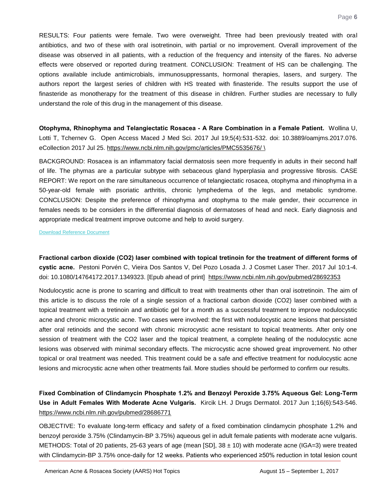RESULTS: Four patients were female. Two were overweight. Three had been previously treated with oral antibiotics, and two of these with oral isotretinoin, with partial or no improvement. Overall improvement of the disease was observed in all patients, with a reduction of the frequency and intensity of the flares. No adverse effects were observed or reported during treatment. CONCLUSION: Treatment of HS can be challenging. The options available include antimicrobials, immunosuppressants, hormonal therapies, lasers, and surgery. The authors report the largest series of children with HS treated with finasteride. The results support the use of finasteride as monotherapy for the treatment of this disease in children. Further studies are necessary to fully understand the role of this drug in the management of this disease.

<span id="page-6-0"></span>**Otophyma, Rhinophyma and Telangiectatic Rosacea - A Rare Combination in a Female Patient.** Wollina U, Lotti T, Tchernev G. Open Access Maced J Med Sci. 2017 Jul 19;5(4):531-532. doi: 10.3889/oamjms.2017.076. eCollection 2017 Jul 25.<https://www.ncbi.nlm.nih.gov/pmc/articles/PMC5535676/> \

BACKGROUND: Rosacea is an inflammatory facial dermatosis seen more frequently in adults in their second half of life. The phymas are a particular subtype with sebaceous gland hyperplasia and progressive fibrosis. CASE REPORT: We report on the rare simultaneous occurrence of telangiectatic rosacea, otophyma and rhinophyma in a 50-year-old female with psoriatic arthritis, chronic lymphedema of the legs, and metabolic syndrome. CONCLUSION: Despite the preference of rhinophyma and otophyma to the male gender, their occurrence in females needs to be considers in the differential diagnosis of dermatoses of head and neck. Early diagnosis and appropriate medical treatment improve outcome and help to avoid surgery.

<span id="page-6-1"></span>[Download Reference Document](http://files.constantcontact.com/c2fa20d1101/e099015a-8db8-41c1-ac05-867dca34be52.pdf?ver=1504107201000)

**Fractional carbon dioxide (CO2) laser combined with topical tretinoin for the treatment of different forms of cystic acne.** Pestoni Porvén C, Vieira Dos Santos V, Del Pozo Losada J. J Cosmet Laser Ther. 2017 Jul 10:1-4. doi: 10.1080/14764172.2017.1349323. [Epub ahead of print] <https://www.ncbi.nlm.nih.gov/pubmed/28692353>

Nodulocystic acne is prone to scarring and difficult to treat with treatments other than oral isotretinoin. The aim of this article is to discuss the role of a single session of a fractional carbon dioxide (CO2) laser combined with a topical treatment with a tretinoin and antibiotic gel for a month as a successful treatment to improve nodulocystic acne and chronic microcystic acne. Two cases were involved: the first with nodulocystic acne lesions that persisted after oral retinoids and the second with chronic microcystic acne resistant to topical treatments. After only one session of treatment with the CO2 laser and the topical treatment, a complete healing of the nodulocystic acne lesions was observed with minimal secondary effects. The microcystic acne showed great improvement. No other topical or oral treatment was needed. This treatment could be a safe and effective treatment for nodulocystic acne lesions and microcystic acne when other treatments fail. More studies should be performed to confirm our results.

<span id="page-6-2"></span>**Fixed Combination of Clindamycin Phosphate 1.2% and Benzoyl Peroxide 3.75% Aqueous Gel: Long-Term Use in Adult Females With Moderate Acne Vulgaris.** Kircik LH. J Drugs Dermatol. 2017 Jun 1;16(6):543-546. <https://www.ncbi.nlm.nih.gov/pubmed/28686771>

OBJECTIVE: To evaluate long-term efficacy and safety of a fixed combination clindamycin phosphate 1.2% and benzoyl peroxide 3.75% (Clindamycin-BP 3.75%) aqueous gel in adult female patients with moderate acne vulgaris. METHODS: Total of 20 patients, 25-63 years of age (mean [SD],  $38 \pm 10$ ) with moderate acne (IGA=3) were treated with Clindamycin-BP 3.75% once-daily for 12 weeks. Patients who experienced ≥50% reduction in total lesion count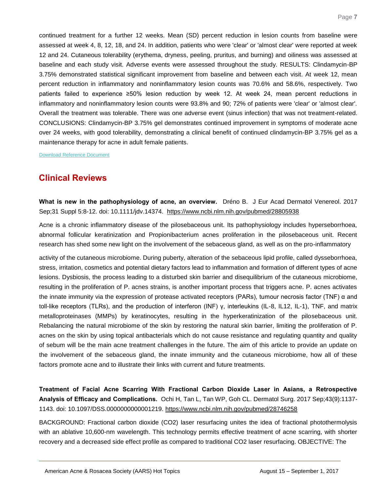continued treatment for a further 12 weeks. Mean (SD) percent reduction in lesion counts from baseline were assessed at week 4, 8, 12, 18, and 24. In addition, patients who were 'clear' or 'almost clear' were reported at week 12 and 24. Cutaneous tolerability (erythema, dryness, peeling, pruritus, and burning) and oiliness was assessed at baseline and each study visit. Adverse events were assessed throughout the study. RESULTS: Clindamycin-BP 3.75% demonstrated statistical significant improvement from baseline and between each visit. At week 12, mean percent reduction in inflammatory and noninflammatory lesion counts was 70.6% and 58.6%, respectively. Two patients failed to experience ≥50% lesion reduction by week 12. At week 24, mean percent reductions in inflammatory and noninflammatory lesion counts were 93.8% and 90; 72% of patients were 'clear' or 'almost clear'. Overall the treatment was tolerable. There was one adverse event (sinus infection) that was not treatment-related. CONCLUSIONS: Clindamycin-BP 3.75% gel demonstrates continued improvement in symptoms of moderate acne over 24 weeks, with good tolerability, demonstrating a clinical benefit of continued clindamycin-BP 3.75% gel as a maintenance therapy for acne in adult female patients.

[Download Reference Document](http://files.constantcontact.com/c2fa20d1101/16393734-e596-4a83-ad40-e89770d4d125.pdf?ver=1504107201000)

## **Clinical Reviews**

<span id="page-7-0"></span>**What is new in the pathophysiology of acne, an overview.** Dréno B. J Eur Acad Dermatol Venereol. 2017 Sep;31 Suppl 5:8-12. doi: 10.1111/jdv.14374. <https://www.ncbi.nlm.nih.gov/pubmed/28805938>

Acne is a chronic inflammatory disease of the pilosebaceous unit. Its pathophysiology includes hyperseborrhoea, abnormal follicular keratinization and Propionibacterium acnes proliferation in the pilosebaceous unit. Recent research has shed some new light on the involvement of the sebaceous gland, as well as on the pro-inflammatory

activity of the cutaneous microbiome. During puberty, alteration of the sebaceous lipid profile, called dysseborrhoea, stress, irritation, cosmetics and potential dietary factors lead to inflammation and formation of different types of acne lesions. Dysbiosis, the process leading to a disturbed skin barrier and disequilibrium of the cutaneous microbiome, resulting in the proliferation of P. acnes strains, is another important process that triggers acne. P. acnes activates the innate immunity via the expression of protease activated receptors (PARs), tumour necrosis factor (TNF) α and toll-like receptors (TLRs), and the production of interferon (INF) γ, interleukins (IL-8, IL12, IL-1), TNF, and matrix metalloproteinases (MMPs) by keratinocytes, resulting in the hyperkeratinization of the pilosebaceous unit. Rebalancing the natural microbiome of the skin by restoring the natural skin barrier, limiting the proliferation of P. acnes on the skin by using topical antibacterials which do not cause resistance and regulating quantity and quality of sebum will be the main acne treatment challenges in the future. The aim of this article to provide an update on the involvement of the sebaceous gland, the innate immunity and the cutaneous microbiome, how all of these factors promote acne and to illustrate their links with current and future treatments.

<span id="page-7-1"></span>**Treatment of Facial Acne Scarring With Fractional Carbon Dioxide Laser in Asians, a Retrospective Analysis of Efficacy and Complications.** Ochi H, Tan L, Tan WP, Goh CL. Dermatol Surg. 2017 Sep;43(9):1137- 1143. doi: 10.1097/DSS.0000000000001219.<https://www.ncbi.nlm.nih.gov/pubmed/28746258>

BACKGROUND: Fractional carbon dioxide (CO2) laser resurfacing unites the idea of fractional photothermolysis with an ablative 10,600-nm wavelength. This technology permits effective treatment of acne scarring, with shorter recovery and a decreased side effect profile as compared to traditional CO2 laser resurfacing. OBJECTIVE: The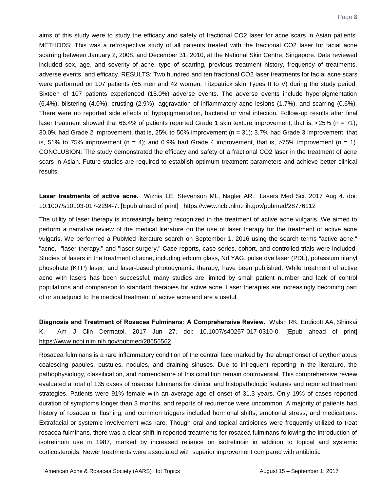aims of this study were to study the efficacy and safety of fractional CO2 laser for acne scars in Asian patients. METHODS: This was a retrospective study of all patients treated with the fractional CO2 laser for facial acne scarring between January 2, 2008, and December 31, 2010, at the National Skin Centre, Singapore. Data reviewed included sex, age, and severity of acne, type of scarring, previous treatment history, frequency of treatments, adverse events, and efficacy. RESULTS: Two hundred and ten fractional CO2 laser treatments for facial acne scars were performed on 107 patients (65 men and 42 women, Fitzpatrick skin Types II to V) during the study period. Sixteen of 107 patients experienced (15.0%) adverse events. The adverse events include hyperpigmentation (6.4%), blistering (4.0%), crusting (2.9%), aggravation of inflammatory acne lesions (1.7%), and scarring (0.6%). There were no reported side effects of hypopigmentation, bacterial or viral infection. Follow-up results after final laser treatment showed that 66.4% of patients reported Grade 1 skin texture improvement, that is,  $\langle 25\% \rangle$  (n = 71); 30.0% had Grade 2 improvement, that is, 25% to 50% improvement (n = 31); 3.7% had Grade 3 improvement, that is, 51% to 75% improvement ( $n = 4$ ); and 0.9% had Grade 4 improvement, that is,  $>75%$  improvement ( $n = 1$ ). CONCLUSION: The study demonstrated the efficacy and safety of a fractional CO2 laser in the treatment of acne scars in Asian. Future studies are required to establish optimum treatment parameters and achieve better clinical results.

<span id="page-8-0"></span>**Laser treatments of active acne.** Wiznia LE, Stevenson ML, Nagler AR. Lasers Med Sci. 2017 Aug 4. doi: 10.1007/s10103-017-2294-7. [Epub ahead of print] <https://www.ncbi.nlm.nih.gov/pubmed/28776112>

The utility of laser therapy is increasingly being recognized in the treatment of active acne vulgaris. We aimed to perform a narrative review of the medical literature on the use of laser therapy for the treatment of active acne vulgaris. We performed a PubMed literature search on September 1, 2016 using the search terms "active acne," "acne," "laser therapy," and "laser surgery." Case reports, case series, cohort, and controlled trials were included. Studies of lasers in the treatment of acne, including erbium glass, Nd:YAG, pulse dye laser (PDL), potassium titanyl phosphate (KTP) laser, and laser-based photodynamic therapy, have been published. While treatment of active acne with lasers has been successful, many studies are limited by small patient number and lack of control populations and comparison to standard therapies for active acne. Laser therapies are increasingly becoming part of or an adjunct to the medical treatment of active acne and are a useful.

<span id="page-8-1"></span>**Diagnosis and Treatment of Rosacea Fulminans: A Comprehensive Review.** Walsh RK, Endicott AA, Shinkai K. Am J Clin Dermatol. 2017 Jun 27. doi: 10.1007/s40257-017-0310-0. [Epub ahead of print] <https://www.ncbi.nlm.nih.gov/pubmed/28656562>

Rosacea fulminans is a rare inflammatory condition of the central face marked by the abrupt onset of erythematous coalescing papules, pustules, nodules, and draining sinuses. Due to infrequent reporting in the literature, the pathophysiology, classification, and nomenclature of this condition remain controversial. This comprehensive review evaluated a total of 135 cases of rosacea fulminans for clinical and histopathologic features and reported treatment strategies. Patients were 91% female with an average age of onset of 31.3 years. Only 19% of cases reported duration of symptoms longer than 3 months, and reports of recurrence were uncommon. A majority of patients had history of rosacea or flushing, and common triggers included hormonal shifts, emotional stress, and medications. Extrafacial or systemic involvement was rare. Though oral and topical antibiotics were frequently utilized to treat rosacea fulminans, there was a clear shift in reported treatments for rosacea fulminans following the introduction of isotretinoin use in 1987, marked by increased reliance on isotretinoin in addition to topical and systemic corticosteroids. Newer treatments were associated with superior improvement compared with antibiotic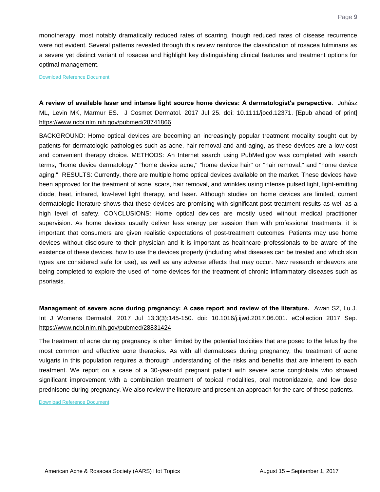monotherapy, most notably dramatically reduced rates of scarring, though reduced rates of disease recurrence were not evident. Several patterns revealed through this review reinforce the classification of rosacea fulminans as a severe yet distinct variant of rosacea and highlight key distinguishing clinical features and treatment options for optimal management.

[Download Reference Document](http://files.constantcontact.com/c2fa20d1101/da4b7a4c-a141-4a31-8870-200003b992de.pdf?ver=1504107173000)

<span id="page-9-0"></span>**A review of available laser and intense light source home devices: A dermatologist's perspective**. Juhász ML, Levin MK, Marmur ES. J Cosmet Dermatol. 2017 Jul 25. doi: 10.1111/jocd.12371. [Epub ahead of print] <https://www.ncbi.nlm.nih.gov/pubmed/28741866>

BACKGROUND: Home optical devices are becoming an increasingly popular treatment modality sought out by patients for dermatologic pathologies such as acne, hair removal and anti-aging, as these devices are a low-cost and convenient therapy choice. METHODS: An Internet search using PubMed.gov was completed with search terms, "home device dermatology," "home device acne," "home device hair" or "hair removal," and "home device aging." RESULTS: Currently, there are multiple home optical devices available on the market. These devices have been approved for the treatment of acne, scars, hair removal, and wrinkles using intense pulsed light, light-emitting diode, heat, infrared, low-level light therapy, and laser. Although studies on home devices are limited, current dermatologic literature shows that these devices are promising with significant post-treatment results as well as a high level of safety. CONCLUSIONS: Home optical devices are mostly used without medical practitioner supervision. As home devices usually deliver less energy per session than with professional treatments, it is important that consumers are given realistic expectations of post-treatment outcomes. Patients may use home devices without disclosure to their physician and it is important as healthcare professionals to be aware of the existence of these devices, how to use the devices properly (including what diseases can be treated and which skin types are considered safe for use), as well as any adverse effects that may occur. New research endeavors are being completed to explore the used of home devices for the treatment of chronic inflammatory diseases such as psoriasis.

<span id="page-9-1"></span>**Management of severe acne during pregnancy: A case report and review of the literature.** Awan SZ, Lu J. Int J Womens Dermatol. 2017 Jul 13;3(3):145-150. doi: 10.1016/j.ijwd.2017.06.001. eCollection 2017 Sep. <https://www.ncbi.nlm.nih.gov/pubmed/28831424>

The treatment of acne during pregnancy is often limited by the potential toxicities that are posed to the fetus by the most common and effective acne therapies. As with all dermatoses during pregnancy, the treatment of acne vulgaris in this population requires a thorough understanding of the risks and benefits that are inherent to each treatment. We report on a case of a 30-year-old pregnant patient with severe acne conglobata who showed significant improvement with a combination treatment of topical modalities, oral metronidazole, and low dose prednisone during pregnancy. We also review the literature and present an approach for the care of these patients.

[Download Reference Document](http://files.constantcontact.com/c2fa20d1101/e0f12cd3-33fe-482c-b5ad-965c1ec1b33e.pdf?ver=1504107201000)